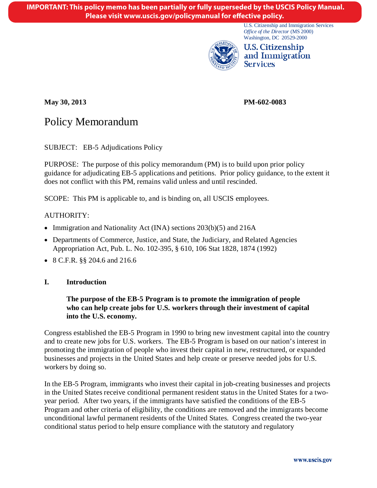U.S. Citizenship and Immigration Services *Office of the Director* (MS 2000) Washington, DC 20529-2000



U.S. Citizenship and Immigration Services

**May 30, 2013 PM-602-0083** 

# Policy Memorandum

SUBJECT: EB-5 Adjudications Policy

PURPOSE: The purpose of this policy memorandum (PM) is to build upon prior policy guidance for adjudicating EB-5 applications and petitions. Prior policy guidance, to the extent it does not conflict with this PM, remains valid unless and until rescinded.

SCOPE: This PM is applicable to, and is binding on, all USCIS employees.

# AUTHORITY:

- Immigration and Nationality Act (INA) sections 203(b)(5) and 216A
- Departments of Commerce, Justice, and State, the Judiciary, and Related Agencies Appropriation Act, Pub. L. No. 102-395, § 610, 106 Stat 1828, 1874 (1992)
- 8 C.F.R. §§ 204.6 and 216.6

#### **I. Introduction**

### **The purpose of the EB-5 Program is to promote the immigration of people who can help create jobs for U.S. workers through their investment of capital into the U.S. economy.**

Congress established the EB-5 Program in 1990 to bring new investment capital into the country and to create new jobs for U.S. workers. The EB-5 Program is based on our nation's interest in promoting the immigration of people who invest their capital in new, restructured, or expanded businesses and projects in the United States and help create or preserve needed jobs for U.S. workers by doing so.

<span id="page-0-0"></span>In the EB-5 Program, immigrants who invest their capital in job-creating businesses and projects in the United States receive conditional permanent resident status in the United States for a twoyear period. After two years, if the immigrants have satisfied the conditions of the EB-5 Program and other criteria of eligibility, the conditions are removed and the immigrants become unconditional lawful permanent residents of the United States. Congress created the two-year conditional status period to help ensure compliance with the statutory and regulatory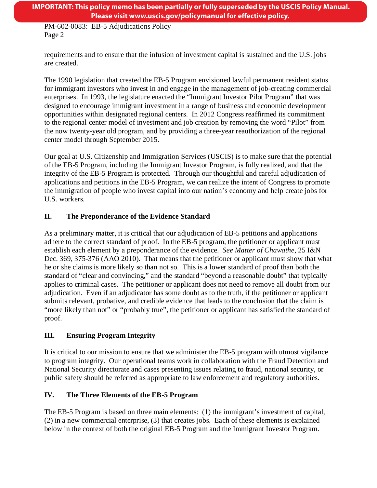requirements and to ensure that the infusion of investment capital is sustained and the U.S. jobs are created.

The 1990 legislation that created the EB-5 Program envisioned lawful permanent resident status for immigrant investors who invest in and engage in the management of job-creating commercial enterprises. In 1993, the legislature enacted the "Immigrant Investor Pilot Program" that was designed to encourage immigrant investment in a range of business and economic development opportunities within designated regional centers. In 2012 Congress reaffirmed its commitment to the regional center model of investment and job creation by removing the word "Pilot" from the now twenty-year old program, and by providing a three-year reauthorization of the regional center model through September 2015.

Our goal at U.S. Citizenship and Immigration Services (USCIS) is to make sure that the potential of the EB-5 Program, including the Immigrant Investor Program, is fully realized, and that the integrity of the EB-5 Program is protected. Through our thoughtful and careful adjudication of applications and petitions in the EB-5 Program, we can realize the intent of Congress to promote the immigration of people who invest capital into our nation's economy and help create jobs for U.S. workers.

# **II. The Preponderance of the Evidence Standard**

As a preliminary matter, it is critical that our adjudication of EB-5 petitions and applications adhere to the correct standard of proof. In the EB-5 program, the petitioner or applicant must establish each element by a preponderance of the evidence. *See Matter of Chawathe*, 25 I&N Dec. 369, 375-376 (AAO 2010). That means that the petitioner or applicant must show that what he or she claims is more likely so than not so. This is a lower standard of proof than both the standard of "clear and convincing," and the standard "beyond a reasonable doubt" that typically applies to criminal cases. The petitioner or applicant does not need to remove all doubt from our adjudication. Even if an adjudicator has some doubt as to the truth, if the petitioner or applicant submits relevant, probative, and credible evidence that leads to the conclusion that the claim is "more likely than not" or "probably true", the petitioner or applicant has satisfied the standard of proof.

# **III. Ensuring Program Integrity**

It is critical to our mission to ensure that we administer the EB-5 program with utmost vigilance to program integrity. Our operational teams work in collaboration with the Fraud Detection and National Security directorate and cases presenting issues relating to fraud, national security, or public safety should be referred as appropriate to law enforcement and regulatory authorities.

# **IV. The Three Elements of the EB-5 Program**

The EB-5 Program is based on three main elements: (1) the immigrant's investment of capital, (2) in a new commercial enterprise, (3) that creates jobs. Each of these elements is explained below in the context of both the original EB-5 Program and the Immigrant Investor Program.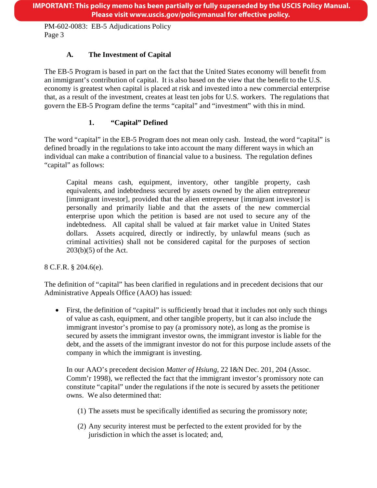# **A. The Investment of Capital**

The EB-5 Program is based in part on the fact that the United States economy will benefit from an immigrant's contribution of capital. It is also based on the view that the benefit to the U.S. economy is greatest when capital is placed at risk and invested into a new commercial enterprise that, as a result of the investment, creates at least ten jobs for U.S. workers. The regulations that govern the EB-5 Program define the terms "capital" and "investment" with this in mind.

# **1. "Capital" Defined**

The word "capital" in the EB-5 Program does not mean only cash. Instead, the word "capital" is defined broadly in the regulations to take into account the many different ways in which an individual can make a contribution of financial value to a business. The regulation defines "capital" as follows:

Capital means cash, equipment, inventory, other tangible property, cash equivalents, and indebtedness secured by assets owned by the alien entrepreneur [immigrant investor], provided that the alien entrepreneur [immigrant investor] is personally and primarily liable and that the assets of the new commercial enterprise upon which the petition is based are not used to secure any of the indebtedness. All capital shall be valued at fair market value in United States dollars. Assets acquired, directly or indirectly, by unlawful means (such as criminal activities) shall not be considered capital for the purposes of section 203(b)(5) of the Act.

8 C.F.R. § 204.6(e)*.* 

The definition of "capital" has been clarified in regulations and in precedent decisions that our Administrative Appeals Office (AAO) has issued:

• First, the definition of "capital" is sufficiently broad that it includes not only such things of value as cash, equipment, and other tangible property, but it can also include the immigrant investor's promise to pay (a promissory note), as long as the promise is secured by assets the immigrant investor owns, the immigrant investor is liable for the debt, and the assets of the immigrant investor do not for this purpose include assets of the company in which the immigrant is investing.

In our AAO's precedent decision *Matter of Hsiung*, 22 I&N Dec. 201, 204 (Assoc. Comm'r 1998), we reflected the fact that the immigrant investor's promissory note can constitute "capital" under the regulations if the note is secured by assets the petitioner owns. We also determined that:

- (1) The assets must be specifically identified as securing the promissory note;
- (2) Any security interest must be perfected to the extent provided for by the jurisdiction in which the asset is located; and,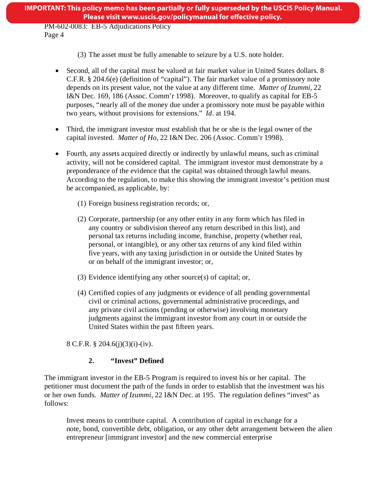- (3) The asset must be fully amenable to seizure by a U.S. note holder.
- Second, all of the capital must be valued at fair market value in United States dollars. 8 C.F.R. § 204.6(e) (definition of "capital"). The fair market value of a promissory note depends on its present value, not the value at any different time. *Matter of Izummi,* 22 I&N Dec. 169, 186 (Assoc. Comm'r 1998). Moreover, to qualify as capital for EB-5 purposes, "nearly all of the money due under a promissory note must be payable within two years, without provisions for extensions." *Id*. at 194.
- Third, the immigrant investor must establish that he or she is the legal owner of the capital invested. *Matter of Ho,* 22 I&N Dec. 206 (Assoc. Comm'r 1998).
- Fourth, any assets acquired directly or indirectly by unlawful means, such as criminal activity, will not be considered capital. The immigrant investor must demonstrate by a preponderance of the evidence that the capital was obtained through lawful means. According to the regulation, to make this showing the immigrant investor's petition must be accompanied, as applicable, by:
	- (1) Foreign business registration records; or,
	- (2) Corporate, partnership (or any other entity in any form which has filed in any country or subdivision thereof any return described in this list), and personal tax returns including income, franchise, property (whether real, personal, or intangible), or any other tax returns of any kind filed within five years, with any taxing jurisdiction in or outside the United States by or on behalf of the immigrant investor; or,
	- (3) Evidence identifying any other source(s) of capital; or,
	- (4) Certified copies of any judgments or evidence of all pending governmental civil or criminal actions, governmental administrative proceedings, and any private civil actions (pending or otherwise) involving monetary judgments against the immigrant investor from any court in or outside the United States within the past fifteen years.

8 C.F.R. § 204.6(j)(3)(i)-(iv).

# **2. "Invest" Defined**

The immigrant investor in the EB-5 Program is required to invest his or her capital. The petitioner must document the path of the funds in order to establish that the investment was his or her own funds. *Matter of Izummi*, 22 I&N Dec. at 195. The regulation defines "invest" as follows:

Invest means to contribute capital. A contribution of capital in exchange for a note, bond, convertible debt, obligation, or any other debt arrangement between the alien entrepreneur [immigrant investor] and the new commercial enterprise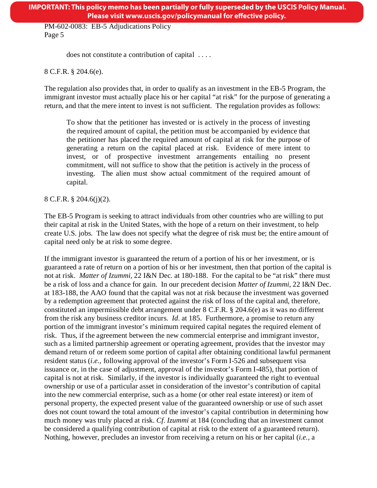does not constitute a contribution of capital . . . .

8 C.F.R. § 204.6(e).

The regulation also provides that, in order to qualify as an investment in the EB-5 Program, the immigrant investor must actually place his or her capital "at risk" for the purpose of generating a return, and that the mere intent to invest is not sufficient. The regulation provides as follows:

To show that the petitioner has invested or is actively in the process of investing the required amount of capital, the petition must be accompanied by evidence that the petitioner has placed the required amount of capital at risk for the purpose of generating a return on the capital placed at risk. Evidence of mere intent to invest, or of prospective investment arrangements entailing no present commitment, will not suffice to show that the petition is actively in the process of investing. The alien must show actual commitment of the required amount of capital.

8 C.F.R. § 204.6(j)(2).

The EB-5 Program is seeking to attract individuals from other countries who are willing to put their capital at risk in the United States, with the hope of a return on their investment, to help create U.S. jobs. The law does not specify what the degree of risk must be; the entire amount of capital need only be at risk to some degree.

If the immigrant investor is guaranteed the return of a portion of his or her investment, or is guaranteed a rate of return on a portion of his or her investment, then that portion of the capital is not at risk. *Matter of Izummi,* 22 I&N Dec. at 180-188. For the capital to be "at risk" there must be a risk of loss and a chance for gain. In our precedent decision *Matter of Izummi*, 22 I&N Dec. at 183-188, the AAO found that the capital was not at risk because the investment was governed by a redemption agreement that protected against the risk of loss of the capital and, therefore, constituted an impermissible debt arrangement under 8 C.F.R. § 204.6(e) as it was no different from the risk any business creditor incurs. *Id*. at 185. Furthermore, a promise to return any portion of the immigrant investor's minimum required capital negates the required element of risk. Thus, if the agreement between the new commercial enterprise and immigrant investor, such as a limited partnership agreement or operating agreement, provides that the investor may demand return of or redeem some portion of capital after obtaining conditional lawful permanent resident status (*i.e.*, following approval of the investor's Form I-526 and subsequent visa issuance or, in the case of adjustment, approval of the investor's Form I-485), that portion of capital is not at risk. Similarly, if the investor is individually guaranteed the right to eventual ownership or use of a particular asset in consideration of the investor's contribution of capital into the new commercial enterprise, such as a home (or other real estate interest) or item of personal property, the expected present value of the guaranteed ownership or use of such asset does not count toward the total amount of the investor's capital contribution in determining how much money was truly placed at risk. *Cf*. *Izummi* at 184 (concluding that an investment cannot be considered a qualifying contribution of capital at risk to the extent of a guaranteed return). Nothing, however, precludes an investor from receiving a return on his or her capital (*i.e.,* a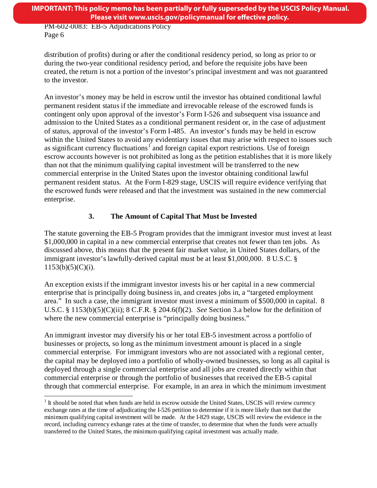distribution of profits) during or after the conditional residency period, so long as prior to or during the two-year conditional residency period, and before the requisite jobs have been created, the return is not a portion of the investor's principal investment and was not guaranteed to the investor.

An investor's money may be held in escrow until the investor has obtained conditional lawful permanent resident status if the immediate and irrevocable release of the escrowed funds is contingent only upon approval of the investor's Form I-526 and subsequent visa issuance and admission to the United States as a conditional permanent resident or, in the case of adjustment of status, approval of the investor's Form I-485. An investor's funds may be held in escrow within the United States to avoid any evidentiary issues that may arise with respect to issues such as significant currency fluctuations<sup>1</sup> and foreign capital export restrictions. Use of foreign escrow accounts however is not prohibited as long as the petition establishes that it is more likely than not that the minimum qualifying capital investment will be transferred to the new commercial enterprise in the United States upon the investor obtaining conditional lawful permanent resident status. At the Form I-829 stage, USCIS will require evidence verifying that the escrowed funds were released and that the investment was sustained in the new commercial enterprise.

# **3. The Amount of Capital That Must be Invested**

The statute governing the EB-5 Program provides that the immigrant investor must invest at least \$1,000,000 in capital in a new commercial enterprise that creates not fewer than ten jobs. As discussed above, this means that the present fair market value, in United States dollars, of the immigrant investor's lawfully-derived capital must be at least \$1,000,000. 8 U.S.C. §  $1153(b)(5)(C)(i)$ .

An exception exists if the immigrant investor invests his or her capital in a new commercial enterprise that is principally doing business in, and creates jobs in, a "targeted employment area." In such a case, the immigrant investor must invest a minimum of \$500,000 in capital. 8 U.S.C. § 1153(b)(5)(C)(ii); 8 C.F.R. § 204.6(f)(2)*. See* Section 3.a below for the definition of where the new commercial enterprise is "principally doing business."

<span id="page-5-0"></span>An immigrant investor may diversify his or her total EB-5 investment across a portfolio of businesses or projects, so long as the minimum investment amount is placed in a single commercial enterprise. For immigrant investors who are not associated with a regional center, the capital may be deployed into a portfolio of wholly-owned businesses, so long as all capital is deployed through a single commercial enterprise and all jobs are created directly within that commercial enterprise or through the portfolio of businesses that received the EB-5 capital through that commercial enterprise. For example, in an area in which the minimum investment

 $<sup>1</sup>$  It should be noted that when funds are held in escrow outside the United States, USCIS will review currency</sup> exchange rates at the time of adjudicating the I-526 petition to determine if it is more likely than not that the minimum qualifying capital investment will be made. At the I-829 stage, USCIS will review the evidence in the record, including currency exhange rates at the time of transfer, to determine that when the funds were actually transferred to the United States, the minimum qualifying capital investment was actually made.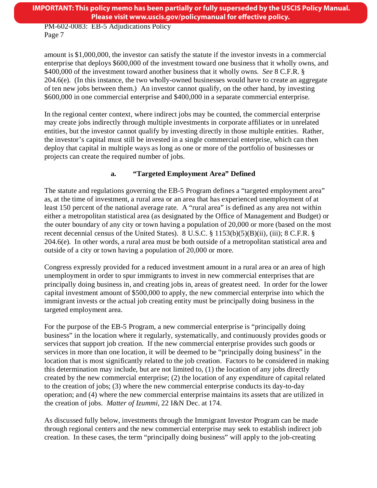amount is \$1,000,000, the investor can satisfy the statute if the investor invests in a commercial enterprise that deploys \$600,000 of the investment toward one business that it wholly owns, and \$400,000 of the investment toward another business that it wholly owns. *See* 8 C.F.R. § 204.6(e). (In this instance, the two wholly-owned businesses would have to create an aggregate of ten new jobs between them.) An investor cannot qualify, on the other hand, by investing \$600,000 in one commercial enterprise and \$400,000 in a separate commercial enterprise.

In the regional center context, where indirect jobs may be counted, the commercial enterprise may create jobs indirectly through multiple investments in corporate affiliates or in unrelated entities, but the investor cannot qualify by investing directly in those multiple entities. Rather, the investor's capital must still be invested in a single commercial enterprise, which can then deploy that capital in multiple ways as long as one or more of the portfolio of businesses or projects can create the required number of jobs.

### **a. "Targeted Employment Area" Defined**

The statute and regulations governing the EB-5 Program defines a "targeted employment area" as, at the time of investment, a rural area or an area that has experienced unemployment of at least 150 percent of the national average rate. A "rural area" is defined as any area not within either a metropolitan statistical area (as designated by the Office of Management and Budget) or the outer boundary of any city or town having a population of 20,000 or more (based on the most recent decennial census of the United States). 8 U.S.C. § 1153(b)(5)(B)(ii), (iii); 8 C.F.R. § 204.6(e)*.* In other words, a rural area must be both outside of a metropolitan statistical area and outside of a city or town having a population of 20,000 or more.

Congress expressly provided for a reduced investment amount in a rural area or an area of high unemployment in order to spur immigrants to invest in new commercial enterprises that are principally doing business in, and creating jobs in, areas of greatest need. In order for the lower capital investment amount of \$500,000 to apply, the new commercial enterprise into which the immigrant invests or the actual job creating entity must be principally doing business in the targeted employment area.

For the purpose of the EB-5 Program, a new commercial enterprise is "principally doing business" in the location where it regularly, systematically, and continuously provides goods or services that support job creation. If the new commercial enterprise provides such goods or services in more than one location, it will be deemed to be "principally doing business" in the location that is most significantly related to the job creation. Factors to be considered in making this determination may include, but are not limited to, (1) the location of any jobs directly created by the new commercial enterprise; (2) the location of any expenditure of capital related to the creation of jobs; (3) where the new commercial enterprise conducts its day-to-day operation; and (4) where the new commercial enterprise maintains its assets that are utilized in the creation of jobs. *Matter of Izummi,* 22 I&N Dec. at 174.

As discussed fully below, investments through the Immigrant Investor Program can be made through regional centers and the new commercial enterprise may seek to establish indirect job creation. In these cases, the term "principally doing business" will apply to the job-creating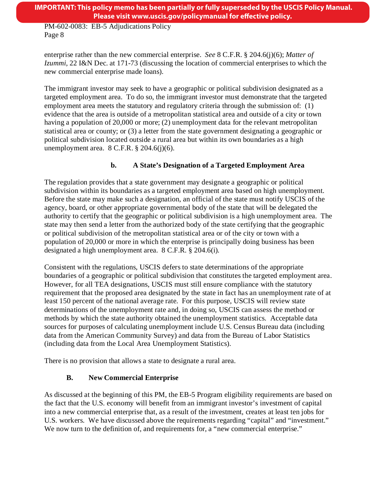# **IMPORTANT: This policy memo has been partially or fully superseded by the USCIS Policy Manual. Please visit www.uscis.gov/policymanual for effective policy.**

PM-602-0083: EB-5 Adjudications Policy Page 8

enterprise rather than the new commercial enterprise. *See* 8 C.F.R. § 204.6(j)(6); *Matter of Izummi,* 22 I&N Dec. at 171-73 (discussing the location of commercial enterprises to which the new commercial enterprise made loans).

The immigrant investor may seek to have a geographic or political subdivision designated as a targeted employment area. To do so, the immigrant investor must demonstrate that the targeted employment area meets the statutory and regulatory criteria through the submission of: (1) evidence that the area is outside of a metropolitan statistical area and outside of a city or town having a population of 20,000 or more; (2) unemployment data for the relevant metropolitan statistical area or county; or (3) a letter from the state government designating a geographic or political subdivision located outside a rural area but within its own boundaries as a high unemployment area.  $8$  C.F.R.  $\S$  204.6(j)(6).

# **b. A State's Designation of a Targeted Employment Area**

The regulation provides that a state government may designate a geographic or political subdivision within its boundaries as a targeted employment area based on high unemployment. Before the state may make such a designation, an official of the state must notify USCIS of the agency, board, or other appropriate governmental body of the state that will be delegated the authority to certify that the geographic or political subdivision is a high unemployment area. The state may then send a letter from the authorized body of the state certifying that the geographic or political subdivision of the metropolitan statistical area or of the city or town with a population of 20,000 or more in which the enterprise is principally doing business has been designated a high unemployment area. 8 C.F.R. § 204.6(i)*.* 

Consistent with the regulations, USCIS defers to state determinations of the appropriate boundaries of a geographic or political subdivision that constitutes the targeted employment area. However, for all TEA designations, USCIS must still ensure compliance with the statutory requirement that the proposed area designated by the state in fact has an unemployment rate of at least 150 percent of the national average rate. For this purpose, USCIS will review state determinations of the unemployment rate and, in doing so, USCIS can assess the method or methods by which the state authority obtained the unemployment statistics. Acceptable data sources for purposes of calculating unemployment include U.S. Census Bureau data (including data from the American Community Survey) and data from the Bureau of Labor Statistics (including data from the Local Area Unemployment Statistics).

There is no provision that allows a state to designate a rural area.

# **B. New Commercial Enterprise**

As discussed at the beginning of this PM, the EB-5 Program eligibility requirements are based on the fact that the U.S. economy will benefit from an immigrant investor's investment of capital into a new commercial enterprise that, as a result of the investment, creates at least ten jobs for U.S. workers. We have discussed above the requirements regarding "capital" and "investment." We now turn to the definition of, and requirements for, a "new commercial enterprise."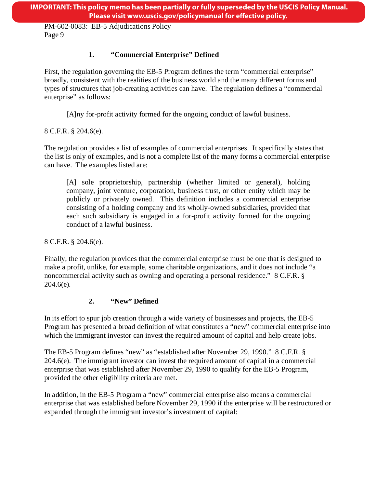# **1. "Commercial Enterprise" Defined**

First, the regulation governing the EB-5 Program defines the term "commercial enterprise" broadly, consistent with the realities of the business world and the many different forms and types of structures that job-creating activities can have. The regulation defines a "commercial enterprise" as follows:

[A]ny for-profit activity formed for the ongoing conduct of lawful business.

8 C.F.R. § 204.6(e)*.* 

The regulation provides a list of examples of commercial enterprises. It specifically states that the list is only of examples, and is not a complete list of the many forms a commercial enterprise can have. The examples listed are:

[A] sole proprietorship, partnership (whether limited or general), holding company, joint venture, corporation, business trust, or other entity which may be publicly or privately owned. This definition includes a commercial enterprise consisting of a holding company and its wholly-owned subsidiaries, provided that each such subsidiary is engaged in a for-profit activity formed for the ongoing conduct of a lawful business.

8 C.F.R. § 204.6(e)*.* 

Finally, the regulation provides that the commercial enterprise must be one that is designed to make a profit, unlike, for example, some charitable organizations, and it does not include "a noncommercial activity such as owning and operating a personal residence." 8 C.F.R. § 204.6(e)*.* 

# **2. "New" Defined**

In its effort to spur job creation through a wide variety of businesses and projects, the EB-5 Program has presented a broad definition of what constitutes a "new" commercial enterprise into which the immigrant investor can invest the required amount of capital and help create jobs.

The EB-5 Program defines "new" as "established after November 29, 1990." 8 C.F.R. § 204.6(e). The immigrant investor can invest the required amount of capital in a commercial enterprise that was established after November 29, 1990 to qualify for the EB-5 Program, provided the other eligibility criteria are met.

In addition, in the EB-5 Program a "new" commercial enterprise also means a commercial enterprise that was established before November 29, 1990 if the enterprise will be restructured or expanded through the immigrant investor's investment of capital: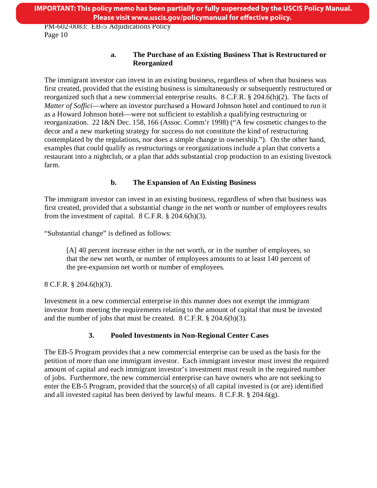#### **a. The Purchase of an Existing Business That is Restructured or Reorganized**

The immigrant investor can invest in an existing business, regardless of when that business was first created, provided that the existing business is simultaneously or subsequently restructured or reorganized such that a new commercial enterprise results. 8 C.F.R. § 204.6(h)(2). The facts of *Matter of Soffici*—where an investor purchased a Howard Johnson hotel and continued to run it as a Howard Johnson hotel—were not sufficient to establish a qualifying restructuring or reorganization. 22 I&N Dec. 158, 166 (Assoc. Comm'r 1998) ("A few cosmetic changes to the decor and a new marketing strategy for success do not constitute the kind of restructuring contemplated by the regulations, nor does a simple change in ownership."). On the other hand, examples that could qualify as restructurings or reorganizations include a plan that converts a restaurant into a nightclub, or a plan that adds substantial crop production to an existing livestock farm.

# **b. The Expansion of An Existing Business**

The immigrant investor can invest in an existing business, regardless of when that business was first created, provided that a substantial change in the net worth or number of employees results from the investment of capital.  $8 \text{ C.F.R.}$   $\S 204.6(h)(3)$ .

"Substantial change" is defined as follows:

[A] 40 percent increase either in the net worth, or in the number of employees, so that the new net worth, or number of employees amounts to at least 140 percent of the pre-expansion net worth or number of employees.

8 C.F.R. § 204.6(h)(3).

Investment in a new commercial enterprise in this manner does not exempt the immigrant investor from meeting the requirements relating to the amount of capital that must be invested and the number of jobs that must be created. 8 C.F.R. § 204.6(h)(3).

# **3. Pooled Investments in Non-Regional Center Cases**

The EB-5 Program provides that a new commercial enterprise can be used as the basis for the petition of more than one immigrant investor. Each immigrant investor must invest the required amount of capital and each immigrant investor's investment must result in the required number of jobs. Furthermore, the new commercial enterprise can have owners who are not seeking to enter the EB-5 Program, provided that the source(s) of all capital invested is (or are) identified and all invested capital has been derived by lawful means. 8 C.F.R. § 204.6(g).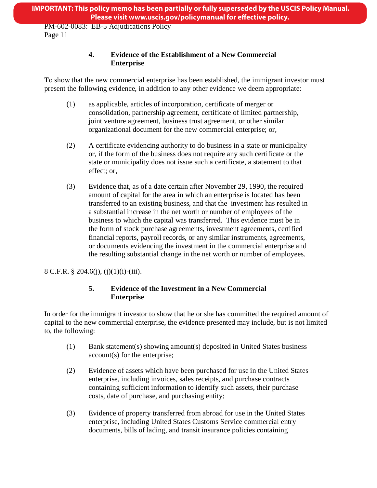# **4. Evidence of the Establishment of a New Commercial Enterprise**

To show that the new commercial enterprise has been established, the immigrant investor must present the following evidence, in addition to any other evidence we deem appropriate:

- (1) as applicable, articles of incorporation, certificate of merger or consolidation, partnership agreement, certificate of limited partnership, joint venture agreement, business trust agreement, or other similar organizational document for the new commercial enterprise; or,
- (2) A certificate evidencing authority to do business in a state or municipality or, if the form of the business does not require any such certificate or the state or municipality does not issue such a certificate, a statement to that effect; or,
- (3) Evidence that, as of a date certain after November 29, 1990, the required amount of capital for the area in which an enterprise is located has been transferred to an existing business, and that the investment has resulted in a substantial increase in the net worth or number of employees of the business to which the capital was transferred. This evidence must be in the form of stock purchase agreements, investment agreements, certified financial reports, payroll records, or any similar instruments, agreements, or documents evidencing the investment in the commercial enterprise and the resulting substantial change in the net worth or number of employees.

8 C.F.R. § 204.6(j), (j)(1)(i)-(iii).

# **5. Evidence of the Investment in a New Commercial Enterprise**

In order for the immigrant investor to show that he or she has committed the required amount of capital to the new commercial enterprise, the evidence presented may include, but is not limited to, the following:

- (1) Bank statement(s) showing amount(s) deposited in United States business account(s) for the enterprise;
- (2) Evidence of assets which have been purchased for use in the United States enterprise, including invoices, sales receipts, and purchase contracts containing sufficient information to identify such assets, their purchase costs, date of purchase, and purchasing entity;
- (3) Evidence of property transferred from abroad for use in the United States enterprise, including United States Customs Service commercial entry documents, bills of lading, and transit insurance policies containing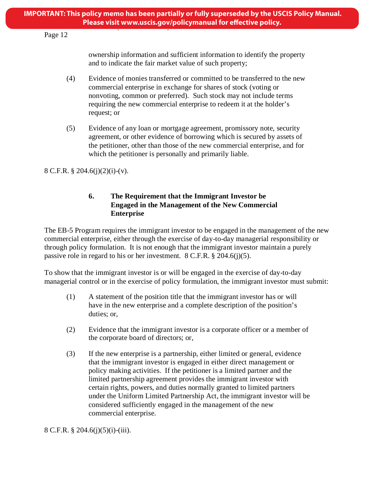# Page 12

ownership information and sufficient information to identify the property and to indicate the fair market value of such property;

- (4) Evidence of monies transferred or committed to be transferred to the new commercial enterprise in exchange for shares of stock (voting or nonvoting, common or preferred). Such stock may not include terms requiring the new commercial enterprise to redeem it at the holder's request; or
- (5) Evidence of any loan or mortgage agreement, promissory note, security agreement, or other evidence of borrowing which is secured by assets of the petitioner, other than those of the new commercial enterprise, and for which the petitioner is personally and primarily liable.

8 C.F.R. § 204.6(j)(2)(i)-(v).

### **6. The Requirement that the Immigrant Investor be Engaged in the Management of the New Commercial Enterprise**

The EB-5 Program requires the immigrant investor to be engaged in the management of the new commercial enterprise, either through the exercise of day-to-day managerial responsibility or through policy formulation. It is not enough that the immigrant investor maintain a purely passive role in regard to his or her investment. 8 C.F.R. § 204.6(j)(5).

To show that the immigrant investor is or will be engaged in the exercise of day-to-day managerial control or in the exercise of policy formulation, the immigrant investor must submit:

- (1) A statement of the position title that the immigrant investor has or will have in the new enterprise and a complete description of the position's duties; or,
- (2) Evidence that the immigrant investor is a corporate officer or a member of the corporate board of directors; or,
- (3) If the new enterprise is a partnership, either limited or general, evidence that the immigrant investor is engaged in either direct management or policy making activities. If the petitioner is a limited partner and the limited partnership agreement provides the immigrant investor with certain rights, powers, and duties normally granted to limited partners under the Uniform Limited Partnership Act, the immigrant investor will be considered sufficiently engaged in the management of the new commercial enterprise.

8 C.F.R. § 204.6(j)(5)(i)-(iii).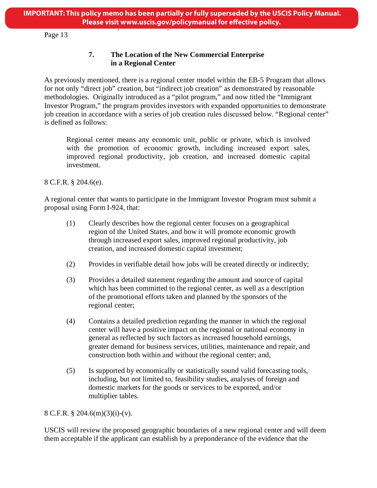Page 13

# **7. The Location of the New Commercial Enterprise in a Regional Center**

As previously mentioned, there is a regional center model within the EB-5 Program that allows for not only "direct job" creation, but "indirect job creation" as demonstrated by reasonable methodologies. Originally introduced as a "pilot program," and now titled the "Immigrant Investor Program," the program provides investors with expanded opportunities to demonstrate job creation in accordance with a series of job creation rules discussed below. "Regional center" is defined as follows:

Regional center means any economic unit, public or private, which is involved with the promotion of economic growth, including increased export sales, improved regional productivity, job creation, and increased domestic capital investment.

8 C.F.R. § 204.6(e).

A regional center that wants to participate in the Immigrant Investor Program must submit a proposal using Form I-924, that:

- (1) Clearly describes how the regional center focuses on a geographical region of the United States, and how it will promote economic growth through increased export sales, improved regional productivity, job creation, and increased domestic capital investment;
- (2) Provides in verifiable detail how jobs will be created directly or indirectly;
- (3) Provides a detailed statement regarding the amount and source of capital which has been committed to the regional center, as well as a description of the promotional efforts taken and planned by the sponsors of the regional center;
- (4) Contains a detailed prediction regarding the manner in which the regional center will have a positive impact on the regional or national economy in general as reflected by such factors as increased household earnings, greater demand for business services, utilities, maintenance and repair, and construction both within and without the regional center; and,
- (5) Is supported by economically or statistically sound valid forecasting tools, including, but not limited to, feasibility studies, analyses of foreign and domestic markets for the goods or services to be exported, and/or multiplier tables.

#### 8 C.F.R. § 204.6(m)(3)(i)-(v).

USCIS will review the proposed geographic boundaries of a new regional center and will deem them acceptable if the applicant can establish by a preponderance of the evidence that the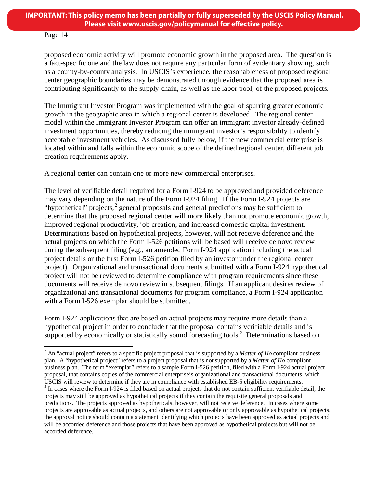#### Page 14

proposed economic activity will promote economic growth in the proposed area. The question is a fact-specific one and the law does not require any particular form of evidentiary showing, such as a county-by-county analysis. In USCIS's experience, the reasonableness of proposed regional center geographic boundaries may be demonstrated through evidence that the proposed area is contributing significantly to the supply chain, as well as the labor pool, of the proposed projects.

The Immigrant Investor Program was implemented with the goal of spurring greater economic growth in the geographic area in which a regional center is developed. The regional center model within the Immigrant Investor Program can offer an immigrant investor already-defined investment opportunities, thereby reducing the immigrant investor's responsibility to identify acceptable investment vehicles. As discussed fully below, if the new commercial enterprise is located within and falls within the economic scope of the defined regional center, different job creation requirements apply.

A regional center can contain one or more new commercial enterprises.

The level of verifiable detail required for a Form I-924 to be approved and provided deference may vary depending on the nature of the Form I-924 filing. If the Form I-924 projects are "hypothetical" projects,<sup>[2](#page-5-0)</sup> general proposals and general predictions may be sufficient to determine that the proposed regional center will more likely than not promote economic growth, improved regional productivity, job creation, and increased domestic capital investment. Determinations based on hypothetical projects, however, will not receive deference and the actual projects on which the Form I-526 petitions will be based will receive de novo review during the subsequent filing (e.g., an amended Form I-924 application including the actual project details or the first Form I-526 petition filed by an investor under the regional center project). Organizational and transactional documents submitted with a Form I-924 hypothetical project will not be reviewed to determine compliance with program requirements since these documents will receive de novo review in subsequent filings. If an applicant desires review of organizational and transactional documents for program compliance, a Form I-924 application with a Form I-526 exemplar should be submitted.

Form I-924 applications that are based on actual projects may require more details than a hypothetical project in order to conclude that the proposal contains verifiable details and is supported by economically or statistically sound forecasting tools.<sup>[3](#page-13-0)</sup> Determinations based on

<sup>2</sup> An "actual project" refers to a specific project proposal that is supported by a *Matter of Ho* compliant business plan. A "hypothetical project" refers to a project proposal that is not supported by a *Matter of Ho* compliant business plan. The term "exemplar" refers to a sample Form I-526 petition, filed with a Form I-924 actual project proposal, that contains copies of the commercial enterprise's organizational and transactional documents, which USCIS will review to determine if they are in compliance with established EB-5 eligibility requirements.  $3 \text{ In cases}$  where the Form I-924 is filed based on actual projects that do not contain sufficient verifiable detail, t

<span id="page-13-1"></span><span id="page-13-0"></span>projects may still be approved as hypothetical projects if they contain the requisite general proposals and predictions. The projects approved as hypotheticals, however, will not receive deference. In cases where some projects are approvable as actual projects, and others are not approvable or only approvable as hypothetical projects, the approval notice should contain a statement identifying which projects have been approved as actual projects and will be accorded deference and those projects that have been approved as hypothetical projects but will not be accorded deference.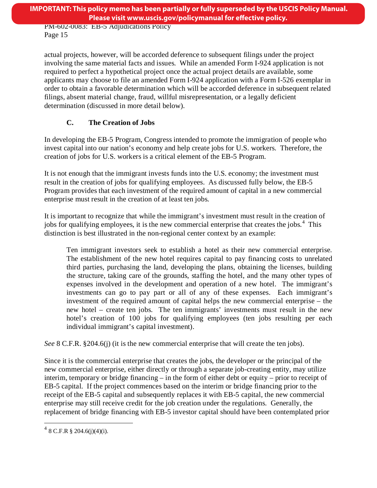actual projects, however, will be accorded deference to subsequent filings under the project involving the same material facts and issues. While an amended Form I-924 application is not required to perfect a hypothetical project once the actual project details are available, some applicants may choose to file an amended Form I-924 application with a Form I-526 exemplar in order to obtain a favorable determination which will be accorded deference in subsequent related filings, absent material change, fraud, willful misrepresentation, or a legally deficient determination (discussed in more detail below).

# **C. The Creation of Jobs**

In developing the EB-5 Program, Congress intended to promote the immigration of people who invest capital into our nation's economy and help create jobs for U.S. workers. Therefore, the creation of jobs for U.S. workers is a critical element of the EB-5 Program.

It is not enough that the immigrant invests funds into the U.S. economy; the investment must result in the creation of jobs for qualifying employees. As discussed fully below, the EB-5 Program provides that each investment of the required amount of capital in a new commercial enterprise must result in the creation of at least ten jobs.

It is important to recognize that while the immigrant's investment must result in the creation of jobs for qualifying employees, it is the new commercial enterprise that creates the jobs. [4](#page-13-1) This distinction is best illustrated in the non-regional center context by an example:

Ten immigrant investors seek to establish a hotel as their new commercial enterprise. The establishment of the new hotel requires capital to pay financing costs to unrelated third parties, purchasing the land, developing the plans, obtaining the licenses, building the structure, taking care of the grounds, staffing the hotel, and the many other types of expenses involved in the development and operation of a new hotel. The immigrant's investments can go to pay part or all of any of these expenses. Each immigrant's investment of the required amount of capital helps the new commercial enterprise – the new hotel – create ten jobs. The ten immigrants' investments must result in the new hotel's creation of 100 jobs for qualifying employees (ten jobs resulting per each individual immigrant's capital investment).

*See* 8 C.F.R. §204.6(j) (it is the new commercial enterprise that will create the ten jobs).

<span id="page-14-0"></span>Since it is the commercial enterprise that creates the jobs, the developer or the principal of the new commercial enterprise, either directly or through a separate job-creating entity, may utilize interim, temporary or bridge financing – in the form of either debt or equity – prior to receipt of EB-5 capital. If the project commences based on the interim or bridge financing prior to the receipt of the EB-5 capital and subsequently replaces it with EB-5 capital, the new commercial enterprise may still receive credit for the job creation under the regulations. Generally, the replacement of bridge financing with EB-5 investor capital should have been contemplated prior

 $^{4}$  8 C.F.R § 204.6(j)(4)(i).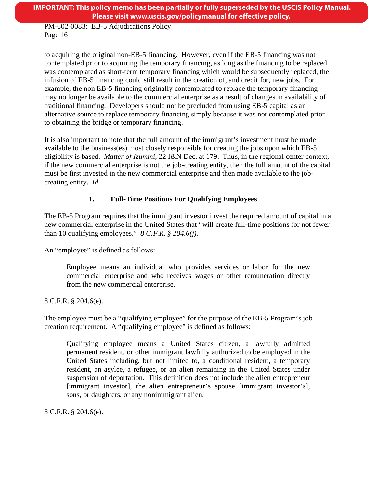**IMPORTANT: This policy memo has been partially or fully superseded by the USCIS Policy Manual. Please visit www.uscis.gov/policymanual for effective policy.** 

PM-602-0083: EB-5 Adjudications Policy Page 16

to acquiring the original non-EB-5 financing. However, even if the EB-5 financing was not contemplated prior to acquiring the temporary financing, as long as the financing to be replaced was contemplated as short-term temporary financing which would be subsequently replaced, the infusion of EB-5 financing could still result in the creation of, and credit for, new jobs. For example, the non EB-5 financing originally contemplated to replace the temporary financing may no longer be available to the commercial enterprise as a result of changes in availability of traditional financing. Developers should not be precluded from using EB-5 capital as an alternative source to replace temporary financing simply because it was not contemplated prior to obtaining the bridge or temporary financing.

It is also important to note that the full amount of the immigrant's investment must be made available to the business(es) most closely responsible for creating the jobs upon which EB-5 eligibility is based. *Matter of Izummi*, 22 I&N Dec. at 179. Thus, in the regional center context, if the new commercial enterprise is not the job-creating entity, then the full amount of the capital must be first invested in the new commercial enterprise and then made available to the jobcreating entity. *Id*.

# **1. Full-Time Positions For Qualifying Employees**

The EB-5 Program requires that the immigrant investor invest the required amount of capital in a new commercial enterprise in the United States that "will create full-time positions for not fewer than 10 qualifying employees." *8 C.F.R. § 204.6(j).* 

An "employee" is defined as follows:

Employee means an individual who provides services or labor for the new commercial enterprise and who receives wages or other remuneration directly from the new commercial enterprise.

8 C.F.R. § 204.6(e).

The employee must be a "qualifying employee" for the purpose of the EB-5 Program's job creation requirement. A "qualifying employee" is defined as follows:

Qualifying employee means a United States citizen, a lawfully admitted permanent resident, or other immigrant lawfully authorized to be employed in the United States including, but not limited to, a conditional resident, a temporary resident, an asylee, a refugee, or an alien remaining in the United States under suspension of deportation. This definition does not include the alien entrepreneur [immigrant investor], the alien entrepreneur's spouse [immigrant investor's], sons, or daughters, or any nonimmigrant alien.

8 C.F.R. § 204.6(e).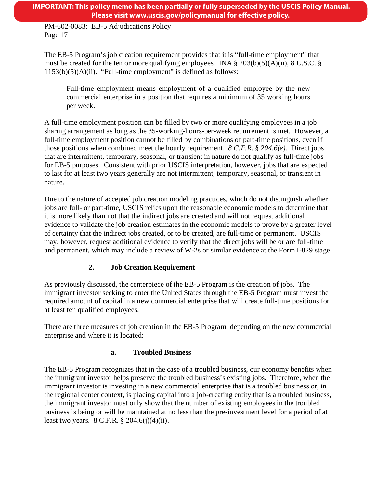**IMPORTANT: This policy memo has been partially or fully superseded by the USCIS Policy Manual. Please visit www.uscis.gov/policymanual for effective policy.** 

PM-602-0083: EB-5 Adjudications Policy Page 17

The EB-5 Program's job creation requirement provides that it is "full-time employment" that must be created for the ten or more qualifying employees. INA  $\S 203(b)(5)(A)(ii)$ , 8 U.S.C.  $\S$  $1153(b)(5)(A)(ii)$ . "Full-time employment" is defined as follows:

Full-time employment means employment of a qualified employee by the new commercial enterprise in a position that requires a minimum of 35 working hours per week.

A full-time employment position can be filled by two or more qualifying employees in a job sharing arrangement as long as the 35-working-hours-per-week requirement is met. However, a full-time employment position cannot be filled by combinations of part-time positions, even if those positions when combined meet the hourly requirement. *8 C.F.R. § 204.6(e).* Direct jobs that are intermittent, temporary, seasonal, or transient in nature do not qualify as full-time jobs for EB-5 purposes. Consistent with prior USCIS interpretation, however, jobs that are expected to last for at least two years generally are not intermittent, temporary, seasonal, or transient in nature.

Due to the nature of accepted job creation modeling practices, which do not distinguish whether jobs are full- or part-time, USCIS relies upon the reasonable economic models to determine that it is more likely than not that the indirect jobs are created and will not request additional evidence to validate the job creation estimates in the economic models to prove by a greater level of certainty that the indirect jobs created, or to be created, are full-time or permanent. USCIS may, however, request additional evidence to verify that the direct jobs will be or are full-time and permanent, which may include a review of W-2s or similar evidence at the Form I-829 stage.

# **2. Job Creation Requirement**

As previously discussed, the centerpiece of the EB-5 Program is the creation of jobs. The immigrant investor seeking to enter the United States through the EB-5 Program must invest the required amount of capital in a new commercial enterprise that will create full-time positions for at least ten qualified employees.

There are three measures of job creation in the EB-5 Program, depending on the new commercial enterprise and where it is located:

# **a. Troubled Business**

The EB-5 Program recognizes that in the case of a troubled business, our economy benefits when the immigrant investor helps preserve the troubled business's existing jobs. Therefore, when the immigrant investor is investing in a new commercial enterprise that is a troubled business or, in the regional center context, is placing capital into a job-creating entity that is a troubled business, the immigrant investor must only show that the number of existing employees in the troubled business is being or will be maintained at no less than the pre-investment level for a period of at least two years. 8 C.F.R. § 204.6(j)(4)(ii).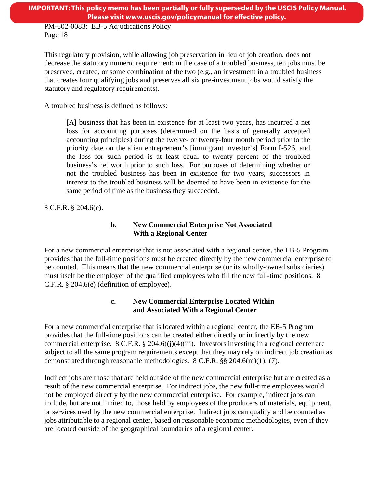This regulatory provision, while allowing job preservation in lieu of job creation, does not decrease the statutory numeric requirement; in the case of a troubled business, ten jobs must be preserved, created, or some combination of the two (e.g., an investment in a troubled business that creates four qualifying jobs and preserves all six pre-investment jobs would satisfy the statutory and regulatory requirements).

A troubled business is defined as follows:

[A] business that has been in existence for at least two years, has incurred a net loss for accounting purposes (determined on the basis of generally accepted accounting principles) during the twelve- or twenty-four month period prior to the priority date on the alien entrepreneur's [immigrant investor's] Form I-526, and the loss for such period is at least equal to twenty percent of the troubled business's net worth prior to such loss. For purposes of determining whether or not the troubled business has been in existence for two years, successors in interest to the troubled business will be deemed to have been in existence for the same period of time as the business they succeeded.

8 C.F.R. § 204.6(e).

### **b. New Commercial Enterprise Not Associated With a Regional Center**

For a new commercial enterprise that is not associated with a regional center, the EB-5 Program provides that the full-time positions must be created directly by the new commercial enterprise to be counted. This means that the new commercial enterprise (or its wholly-owned subsidiaries) must itself be the employer of the qualified employees who fill the new full-time positions. 8 C.F.R. § 204.6(e) (definition of employee).

### **c. New Commercial Enterprise Located Within and Associated With a Regional Center**

For a new commercial enterprise that is located within a regional center, the EB-5 Program provides that the full-time positions can be created either directly or indirectly by the new commercial enterprise. 8 C.F.R. § 204.6((j)(4)(iii). Investors investing in a regional center are subject to all the same program requirements except that they may rely on indirect job creation as demonstrated through reasonable methodologies. 8 C.F.R. §§ 204.6(m)(1), (7).

Indirect jobs are those that are held outside of the new commercial enterprise but are created as a result of the new commercial enterprise. For indirect jobs, the new full-time employees would not be employed directly by the new commercial enterprise. For example, indirect jobs can include, but are not limited to, those held by employees of the producers of materials, equipment, or services used by the new commercial enterprise. Indirect jobs can qualify and be counted as jobs attributable to a regional center, based on reasonable economic methodologies, even if they are located outside of the geographical boundaries of a regional center.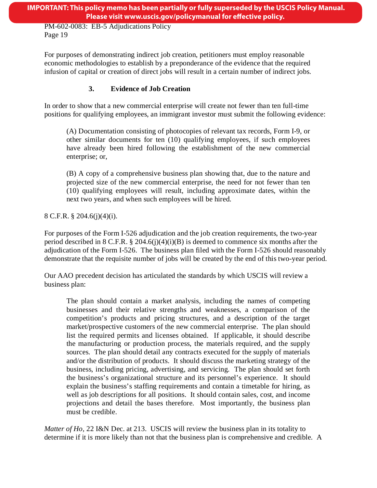For purposes of demonstrating indirect job creation, petitioners must employ reasonable economic methodologies to establish by a preponderance of the evidence that the required infusion of capital or creation of direct jobs will result in a certain number of indirect jobs.

# **3. Evidence of Job Creation**

In order to show that a new commercial enterprise will create not fewer than ten full-time positions for qualifying employees, an immigrant investor must submit the following evidence:

(A) Documentation consisting of photocopies of relevant tax records, Form I-9, or other similar documents for ten (10) qualifying employees, if such employees have already been hired following the establishment of the new commercial enterprise; or,

(B) A copy of a comprehensive business plan showing that, due to the nature and projected size of the new commercial enterprise, the need for not fewer than ten (10) qualifying employees will result, including approximate dates, within the next two years, and when such employees will be hired.

8 C.F.R. § 204.6(j)(4)(i).

For purposes of the Form I-526 adjudication and the job creation requirements, the two-year period described in 8 C.F.R. § 204.6(j)(4)(i)(B) is deemed to commence six months after the adjudication of the Form I-526. The business plan filed with the Form I-526 should reasonably demonstrate that the requisite number of jobs will be created by the end of this two-year period.

Our AAO precedent decision has articulated the standards by which USCIS will review a business plan:

The plan should contain a market analysis, including the names of competing businesses and their relative strengths and weaknesses, a comparison of the competition's products and pricing structures, and a description of the target market/prospective customers of the new commercial enterprise. The plan should list the required permits and licenses obtained. If applicable, it should describe the manufacturing or production process, the materials required, and the supply sources. The plan should detail any contracts executed for the supply of materials and/or the distribution of products. It should discuss the marketing strategy of the business, including pricing, advertising, and servicing. The plan should set forth the business's organizational structure and its personnel's experience. It should explain the business's staffing requirements and contain a timetable for hiring, as well as job descriptions for all positions. It should contain sales, cost, and income projections and detail the bases therefore. Most importantly, the business plan must be credible.

*Matter of Ho,* 22 I&N Dec. at 213. USCIS will review the business plan in its totality to determine if it is more likely than not that the business plan is comprehensive and credible. A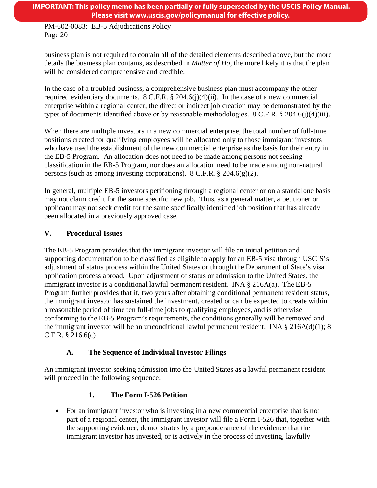business plan is not required to contain all of the detailed elements described above, but the more details the business plan contains, as described in *Matter of Ho*, the more likely it is that the plan will be considered comprehensive and credible.

In the case of a troubled business, a comprehensive business plan must accompany the other required evidentiary documents. 8 C.F.R. § 204.6(j)(4)(ii). In the case of a new commercial enterprise within a regional center, the direct or indirect job creation may be demonstrated by the types of documents identified above or by reasonable methodologies. 8 C.F.R. § 204.6(j)(4)(iii).

When there are multiple investors in a new commercial enterprise, the total number of full-time positions created for qualifying employees will be allocated only to those immigrant investors who have used the establishment of the new commercial enterprise as the basis for their entry in the EB-5 Program. An allocation does not need to be made among persons not seeking classification in the EB-5 Program, nor does an allocation need to be made among non-natural persons (such as among investing corporations). 8 C.F.R. § 204.6(g)(2).

In general, multiple EB-5 investors petitioning through a regional center or on a standalone basis may not claim credit for the same specific new job. Thus, as a general matter, a petitioner or applicant may not seek credit for the same specifically identified job position that has already been allocated in a previously approved case.

# **V. Procedural Issues**

The EB-5 Program provides that the immigrant investor will file an initial petition and supporting documentation to be classified as eligible to apply for an EB-5 visa through USCIS's adjustment of status process within the United States or through the Department of State's visa application process abroad. Upon adjustment of status or admission to the United States, the immigrant investor is a conditional lawful permanent resident. INA § 216A(a). The EB-5 Program further provides that if, two years after obtaining conditional permanent resident status, the immigrant investor has sustained the investment, created or can be expected to create within a reasonable period of time ten full-time jobs to qualifying employees, and is otherwise conforming to the EB-5 Program's requirements, the conditions generally will be removed and the immigrant investor will be an unconditional lawful permanent resident. INA  $\S 216A(d)(1)$ ; 8 C.F.R. § 216.6(c).

# **A. The Sequence of Individual Investor Filings**

An immigrant investor seeking admission into the United States as a lawful permanent resident will proceed in the following sequence:

# **1. The Form I-526 Petition**

• For an immigrant investor who is investing in a new commercial enterprise that is not part of a regional center, the immigrant investor will file a Form I-526 that, together with the supporting evidence, demonstrates by a preponderance of the evidence that the immigrant investor has invested, or is actively in the process of investing, lawfully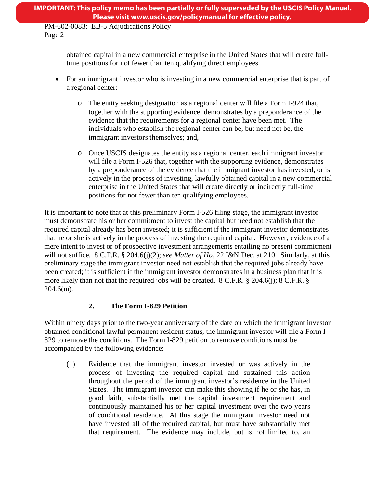# **IMPORTANT: This policy memo has been partially or fully superseded by the USCIS Policy Manual. Please visit www.uscis.gov/policymanual for effective policy.**

PM-602-0083: EB-5 Adjudications Policy Page 21

> obtained capital in a new commercial enterprise in the United States that will create fulltime positions for not fewer than ten qualifying direct employees.

- For an immigrant investor who is investing in a new commercial enterprise that is part of a regional center:
	- o The entity seeking designation as a regional center will file a Form I-924 that, together with the supporting evidence, demonstrates by a preponderance of the evidence that the requirements for a regional center have been met. The individuals who establish the regional center can be, but need not be, the immigrant investors themselves; and,
	- o Once USCIS designates the entity as a regional center, each immigrant investor will file a Form I-526 that, together with the supporting evidence, demonstrates by a preponderance of the evidence that the immigrant investor has invested, or is actively in the process of investing, lawfully obtained capital in a new commercial enterprise in the United States that will create directly or indirectly full-time positions for not fewer than ten qualifying employees.

It is important to note that at this preliminary Form I-526 filing stage, the immigrant investor must demonstrate his or her commitment to invest the capital but need not establish that the required capital already has been invested; it is sufficient if the immigrant investor demonstrates that he or she is actively in the process of investing the required capital. However, evidence of a mere intent to invest or of prospective investment arrangements entailing no present commitment will not suffice. 8 C.F.R. § 204.6(j)(2); *see Matter of Ho,* 22 I&N Dec. at 210. Similarly, at this preliminary stage the immigrant investor need not establish that the required jobs already have been created; it is sufficient if the immigrant investor demonstrates in a business plan that it is more likely than not that the required jobs will be created. 8 C.F.R. § 204.6(j); 8 C.F.R. §  $204.6(m)$ .

# **2. The Form I-829 Petition**

Within ninety days prior to the two-year anniversary of the date on which the immigrant investor obtained conditional lawful permanent resident status, the immigrant investor will file a Form I-829 to remove the conditions. The Form I-829 petition to remove conditions must be accompanied by the following evidence:

(1) Evidence that the immigrant investor invested or was actively in the process of investing the required capital and sustained this action throughout the period of the immigrant investor's residence in the United States. The immigrant investor can make this showing if he or she has, in good faith, substantially met the capital investment requirement and continuously maintained his or her capital investment over the two years of conditional residence. At this stage the immigrant investor need not have invested all of the required capital, but must have substantially met that requirement. The evidence may include, but is not limited to, an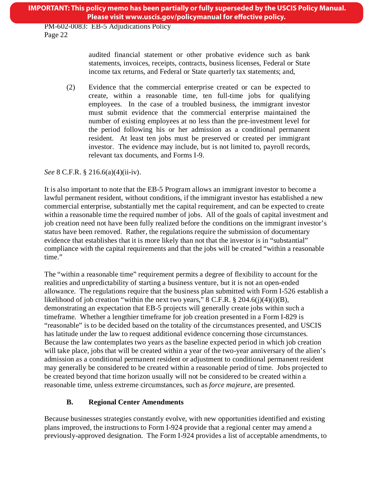audited financial statement or other probative evidence such as bank statements, invoices, receipts, contracts, business licenses, Federal or State income tax returns, and Federal or State quarterly tax statements; and,

(2) Evidence that the commercial enterprise created or can be expected to create, within a reasonable time, ten full-time jobs for qualifying employees. In the case of a troubled business, the immigrant investor must submit evidence that the commercial enterprise maintained the number of existing employees at no less than the pre-investment level for the period following his or her admission as a conditional permanent resident. At least ten jobs must be preserved or created per immigrant investor. The evidence may include, but is not limited to, payroll records, relevant tax documents, and Forms I-9.

*See* 8 C.F.R. § 216.6(a)(4)(ii-iv).

It is also important to note that the EB-5 Program allows an immigrant investor to become a lawful permanent resident, without conditions, if the immigrant investor has established a new commercial enterprise, substantially met the capital requirement, and can be expected to create within a reasonable time the required number of jobs. All of the goals of capital investment and job creation need not have been fully realized before the conditions on the immigrant investor's status have been removed. Rather, the regulations require the submission of documentary evidence that establishes that it is more likely than not that the investor is in "substantial" compliance with the capital requirements and that the jobs will be created "within a reasonable time."

The "within a reasonable time" requirement permits a degree of flexibility to account for the realities and unpredictability of starting a business venture, but it is not an open-ended allowance. The regulations require that the business plan submitted with Form I-526 establish a likelihood of job creation "within the next two years,"  $8$  C.F.R.  $\frac{8}{9}$  204.6(j)(4)(i)(B), demonstrating an expectation that EB-5 projects will generally create jobs within such a timeframe. Whether a lengthier timeframe for job creation presented in a Form I-829 is "reasonable" is to be decided based on the totality of the circumstances presented, and USCIS has latitude under the law to request additional evidence concerning those circumstances. Because the law contemplates two years as the baseline expected period in which job creation will take place, jobs that will be created within a year of the two-year anniversary of the alien's admission as a conditional permanent resident or adjustment to conditional permanent resident may generally be considered to be created within a reasonable period of time. Jobs projected to be created beyond that time horizon usually will not be considered to be created within a reasonable time, unless extreme circumstances, such as *force majeure*, are presented.

# **B. Regional Center Amendments**

Because businesses strategies constantly evolve, with new opportunities identified and existing plans improved, the instructions to Form I-924 provide that a regional center may amend a previously-approved designation. The Form I-924 provides a list of acceptable amendments, to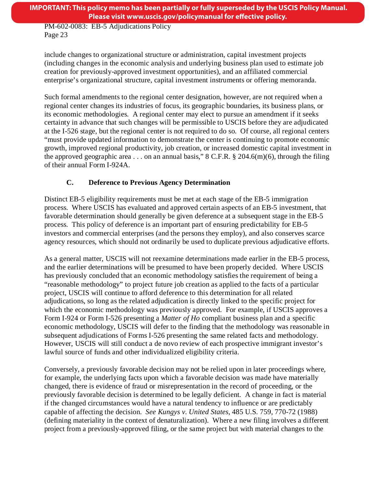include changes to organizational structure or administration, capital investment projects (including changes in the economic analysis and underlying business plan used to estimate job creation for previously-approved investment opportunities), and an affiliated commercial enterprise's organizational structure, capital investment instruments or offering memoranda.

Such formal amendments to the regional center designation, however, are not required when a regional center changes its industries of focus, its geographic boundaries, its business plans, or its economic methodologies. A regional center may elect to pursue an amendment if it seeks certainty in advance that such changes will be permissible to USCIS before they are adjudicated at the I-526 stage, but the regional center is not required to do so. Of course, all regional centers "must provide updated information to demonstrate the center is continuing to promote economic growth, improved regional productivity, job creation, or increased domestic capital investment in the approved geographic area . . . on an annual basis," 8 C.F.R. § 204.6(m)(6), through the filing of their annual Form I-924A.

# **C. Deference to Previous Agency Determination**

Distinct EB-5 eligibility requirements must be met at each stage of the EB-5 immigration process. Where USCIS has evaluated and approved certain aspects of an EB-5 investment, that favorable determination should generally be given deference at a subsequent stage in the EB-5 process. This policy of deference is an important part of ensuring predictability for EB-5 investors and commercial enterprises (and the persons they employ), and also conserves scarce agency resources, which should not ordinarily be used to duplicate previous adjudicative efforts.

As a general matter, USCIS will not reexamine determinations made earlier in the EB-5 process, and the earlier determinations will be presumed to have been properly decided. Where USCIS has previously concluded that an economic methodology satisfies the requirement of being a "reasonable methodology" to project future job creation as applied to the facts of a particular project, USCIS will continue to afford deference to this determination for all related adjudications, so long as the related adjudication is directly linked to the specific project for which the economic methodology was previously approved. For example, if USCIS approves a Form I-924 or Form I-526 presenting a *Matter of Ho* compliant business plan and a specific economic methodology, USCIS will defer to the finding that the methodology was reasonable in subsequent adjudications of Forms I-526 presenting the same related facts and methodology. However, USCIS will still conduct a de novo review of each prospective immigrant investor's lawful source of funds and other individualized eligibility criteria.

Conversely, a previously favorable decision may not be relied upon in later proceedings where, for example, the underlying facts upon which a favorable decision was made have materially changed, there is evidence of fraud or misrepresentation in the record of proceeding, or the previously favorable decision is determined to be legally deficient. A change in fact is material if the changed circumstances would have a natural tendency to influence or are predictably capable of affecting the decision. *See Kungys v. United States*[, 485 U.S. 759, 770-72 \(1988\)](http://web2.westlaw.com/find/default.wl?mt=Westlaw&db=780&tc=-1&rp=%2ffind%2fdefault.wl&findtype=Y&ordoc=1994259130&serialnum=1988056343&vr=2.0&fn=_top&sv=Split&tf=-1&referencepositiontype=S&pbc=F2F1410C&referenceposition=770&rs=WLW12.01)  (defining materiality in the context of denaturalization). Where a new filing involves a different project from a previously-approved filing, or the same project but with material changes to the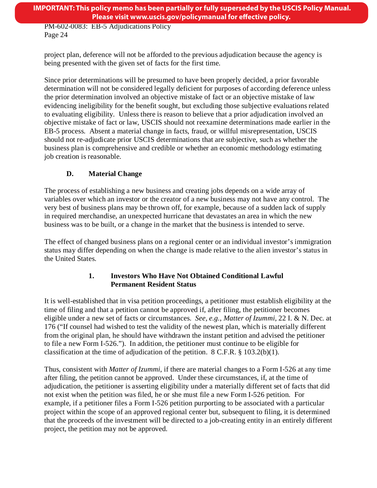project plan, deference will not be afforded to the previous adjudication because the agency is being presented with the given set of facts for the first time.

Since prior determinations will be presumed to have been properly decided, a prior favorable determination will not be considered legally deficient for purposes of according deference unless the prior determination involved an objective mistake of fact or an objective mistake of law evidencing ineligibility for the benefit sought, but excluding those subjective evaluations related to evaluating eligibility. Unless there is reason to believe that a prior adjudication involved an objective mistake of fact or law, USCIS should not reexamine determinations made earlier in the EB-5 process. Absent a material change in facts, fraud, or willful misrepresentation, USCIS should not re-adjudicate prior USCIS determinations that are subjective, such as whether the business plan is comprehensive and credible or whether an economic methodology estimating job creation is reasonable.

# **D. Material Change**

The process of establishing a new business and creating jobs depends on a wide array of variables over which an investor or the creator of a new business may not have any control. The very best of business plans may be thrown off, for example, because of a sudden lack of supply in required merchandise, an unexpected hurricane that devastates an area in which the new business was to be built, or a change in the market that the business is intended to serve.

The effect of changed business plans on a regional center or an individual investor's immigration status may differ depending on when the change is made relative to the alien investor's status in the United States.

# **1. Investors Who Have Not Obtained Conditional Lawful Permanent Resident Status**

It is well-established that in visa petition proceedings, a petitioner must establish eligibility at the time of filing and that a petition cannot be approved if, after filing, the petitioner becomes eligible under a new set of facts or circumstances. *See, e.g.*, *Matter of Izummi*, 22 I. & N. Dec. at 176 ("If counsel had wished to test the validity of the newest plan, which is materially different from the original plan, he should have withdrawn the instant petition and advised the petitioner to file a new Form I-526."). In addition, the petitioner must continue to be eligible for classification at the time of adjudication of the petition. 8 C.F.R. § 103.2(b)(1).

Thus, consistent with *Matter of Izummi*, if there are material changes to a Form I-526 at any time after filing, the petition cannot be approved. Under these circumstances, if, at the time of adjudication, the petitioner is asserting eligibility under a materially different set of facts that did not exist when the petition was filed, he or she must file a new Form I-526 petition. For example, if a petitioner files a Form I-526 petition purporting to be associated with a particular project within the scope of an approved regional center but, subsequent to filing, it is determined that the proceeds of the investment will be directed to a job-creating entity in an entirely different project, the petition may not be approved.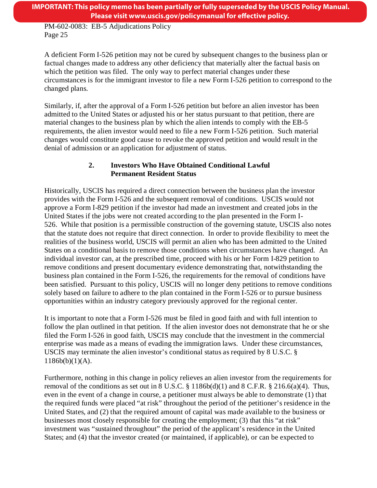A deficient Form I-526 petition may not be cured by subsequent changes to the business plan or factual changes made to address any other deficiency that materially alter the factual basis on which the petition was filed. The only way to perfect material changes under these circumstances is for the immigrant investor to file a new Form I-526 petition to correspond to the changed plans.

Similarly, if, after the approval of a Form I-526 petition but before an alien investor has been admitted to the United States or adjusted his or her status pursuant to that petition, there are material changes to the business plan by which the alien intends to comply with the EB-5 requirements, the alien investor would need to file a new Form I-526 petition. Such material changes would constitute good cause to revoke the approved petition and would result in the denial of admission or an application for adjustment of status.

# **2. Investors Who Have Obtained Conditional Lawful Permanent Resident Status**

Historically, USCIS has required a direct connection between the business plan the investor provides with the Form I-526 and the subsequent removal of conditions. USCIS would not approve a Form I-829 petition if the investor had made an investment and created jobs in the United States if the jobs were not created according to the plan presented in the Form I-526. While that position is a permissible construction of the governing statute, USCIS also notes that the statute does not require that direct connection. In order to provide flexibility to meet the realities of the business world, USCIS will permit an alien who has been admitted to the United States on a conditional basis to remove those conditions when circumstances have changed. An individual investor can, at the prescribed time, proceed with his or her Form I-829 petition to remove conditions and present documentary evidence demonstrating that, notwithstanding the business plan contained in the Form I-526, the requirements for the removal of conditions have been satisfied. Pursuant to this policy, USCIS will no longer deny petitions to remove conditions solely based on failure to adhere to the plan contained in the Form I-526 or to pursue business opportunities within an industry category previously approved for the regional center.

It is important to note that a Form I-526 must be filed in good faith and with full intention to follow the plan outlined in that petition. If the alien investor does not demonstrate that he or she filed the Form I-526 in good faith, USCIS may conclude that the investment in the commercial enterprise was made as a means of evading the immigration laws. Under these circumstances, USCIS may terminate the alien investor's conditional status as required by 8 U.S.C. §  $1186b(b)(1)(A)$ .

Furthermore, nothing in this change in policy relieves an alien investor from the requirements for removal of the conditions as set out in 8 U.S.C.  $\S$  1186b(d)(1) and 8 C.F.R.  $\S$  216.6(a)(4). Thus, even in the event of a change in course, a petitioner must always be able to demonstrate (1) that the required funds were placed "at risk" throughout the period of the petitioner's residence in the United States, and (2) that the required amount of capital was made available to the business or businesses most closely responsible for creating the employment; (3) that this "at risk" investment was "sustained throughout" the period of the applicant's residence in the United States; and (4) that the investor created (or maintained, if applicable), or can be expected to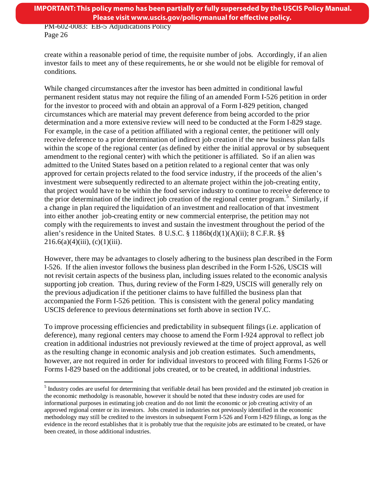create within a reasonable period of time, the requisite number of jobs. Accordingly, if an alien investor fails to meet any of these requirements, he or she would not be eligible for removal of conditions.

While changed circumstances after the investor has been admitted in conditional lawful permanent resident status may not require the filing of an amended Form I-526 petition in order for the investor to proceed with and obtain an approval of a Form I-829 petition, changed circumstances which are material may prevent deference from being accorded to the prior determination and a more extensive review will need to be conducted at the Form I-829 stage. For example, in the case of a petition affiliated with a regional center, the petitioner will only receive deference to a prior determination of indirect job creation if the new business plan falls within the scope of the regional center (as defined by either the initial approval or by subsequent amendment to the regional center) with which the petitioner is affiliated. So if an alien was admitted to the United States based on a petition related to a regional center that was only approved for certain projects related to the food service industry, if the proceeds of the alien's investment were subsequently redirected to an alternate project within the job-creating entity, that project would have to be within the food service industry to continue to receive deference to the prior determination of the indirect job creation of the regional center program.<sup>[5](#page-14-0)</sup> Similarly, if a change in plan required the liquidation of an investment and reallocation of that investment into either another job-creating entity or new commercial enterprise, the petition may not comply with the requirements to invest and sustain the investment throughout the period of the alien's residence in the United States. 8 U.S.C.  $\S$  1186b(d)(1)(A)(ii); 8 C.F.R.  $\S$ §  $216.6(a)(4)(iii)$ , (c)(1)(iii).

However, there may be advantages to closely adhering to the business plan described in the Form I-526. If the alien investor follows the business plan described in the Form I-526, USCIS will not revisit certain aspects of the business plan, including issues related to the economic analysis supporting job creation. Thus, during review of the Form I-829, USCIS will generally rely on the previous adjudication if the petitioner claims to have fulfilled the business plan that accompanied the Form I-526 petition. This is consistent with the general policy mandating USCIS deference to previous determinations set forth above in section IV.C.

To improve processing efficiencies and predictability in subsequent filings (i.e. application of deference), many regional centers may choose to amend the Form I-924 approval to reflect job creation in additional industries not previously reviewed at the time of project approval, as well as the resulting change in economic analysis and job creation estimates. Such amendments, however, are not required in order for individual investors to proceed with filing Forms I-526 or Forms I-829 based on the additional jobs created, or to be created, in additional industries.

<sup>&</sup>lt;sup>5</sup> Industry codes are useful for determining that verifiable detail has been provided and the estimated job creation in the economic methodolgy is reasonable, however it should be noted that these industry codes are used for informational purposes in estimating job creation and do not limit the economic or job creating activity of an approved regional center or its investors. Jobs created in industries not previously identified in the economic methodology may still be credited to the investors in subsequent Form I-526 and Form I-829 filings, as long as the evidence in the record establishes that it is probably true that the requisite jobs are estimated to be created, or have been created, in those additional industries.